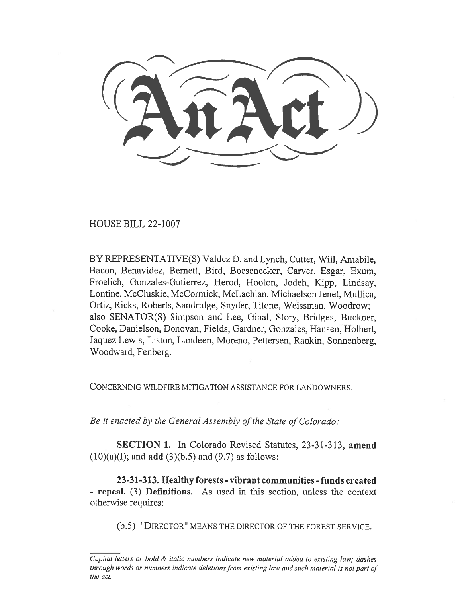HOUSE BILL 22-1007

BY REPRESENTATIVE(S) Valdez D. and Lynch, Cutter, Will, Amabile, Bacon, Benavidez, Bernett, Bird, Boesenecker, Carver, Esgar, Exum, Froelich, Gonzales-Gutierrez, Herod, Hooton, Jodeh, Kipp, Lindsay, Lontine, McCluskie, McCormick, McLachlan, Michaelson Jenet, Mullica, Ortiz, Ricks, Roberts, Sandridge, Snyder, Titone, Weissman, Woodrow; also SENATOR(S) Simpson and Lee, Ginal, Story, Bridges, Buckner, Cooke, Danielson, Donovan, Fields, Gardner, Gonzales, Hansen, Holbert, Jaquez Lewis, Liston, Lundeen, Moreno, Pettersen, Rankin, Sonnenberg, Woodward, Fenberg.

CONCERNING WILDFIRE MITIGATION ASSISTANCE FOR LANDOWNERS.

Be it enacted by the General Assembly of the State of Colorado:

SECTION 1. In Colorado Revised Statutes, 23-31-313, amend  $(10)(a)(I)$ ; and **add**  $(3)(b.5)$  and  $(9.7)$  as follows:

23-31-313. Healthy forests - vibrant communities - funds created - repeal. (3) Definitions. As used in this section, unless the context otherwise requires:

(b.5) "DIRECTOR" MEANS THE DIRECTOR OF THE FOREST SERVICE.

Capital letters or bold & italic numbers indicate new material added to existing law; dashes through words or numbers indicate deletions from existing law and such material is not part of the act.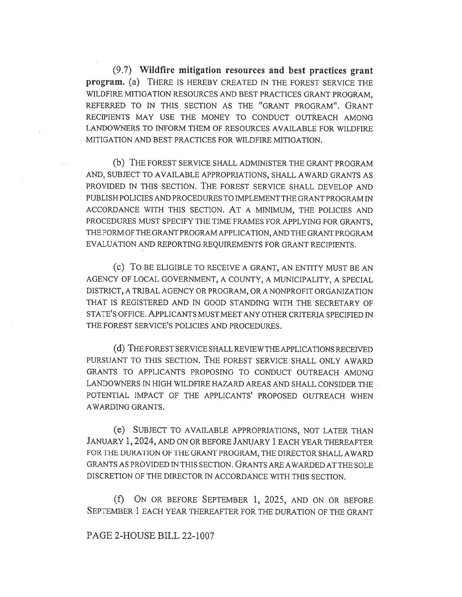(9.7) Wildfire mitigation resources and best practices grant program. (a) THERE IS HEREBY CREATED IN THE FOREST SERVICE THE WILDFIRE MITIGATION RESOURCES AND BEST PRACTICES GRANT PROGRAM, REFERRED TO IN THIS SECTION AS THE "GRANT PROGRAM". GRANT RECIPIENTS MAY USE THE MONEY TO CONDUCT OUTREACH AMONG LANDOWNERS TO INFORM THEM OF RESOURCES AVAILABLE FOR WILDFIRE MITIGATION AND BEST PRACTICES FOR WILDFIRE MITIGATION.

(b) THE FOREST SERVICE SHALL ADMINISTER THE GRANT PROGRAM AND, SUBJECT TO AVAILABLE APPROPRIATIONS, SHALL AWARD GRANTS AS PROVIDED IN THIS SECTION. THE FOREST SERVICE SHALL DEVELOP AND PUBLISH POLICIES AND PROCEDURES TO IMPLEMENT THE GRANT PROGRAM IN ACCORDANCE WITH THIS SECTION. AT A MINIMUM, THE POLICIES AND PROCEDURES MUST SPECIFY THE TIME FRAMES FOR APPLYING FOR GRANTS, THE FORM OF THE GRANT PROGRAM APPLICATION, AND THE GRANT PROGRAM EVALUATION AND REPORTING REQUIREMENTS FOR GRANT RECIPIENTS.

(C) TO BE ELIGIBLE TO RECEIVE A GRANT, AN ENTITY MUST BE AN AGENCY OF LOCAL GOVERNMENT, A COUNTY, A MUNICIPALITY, A SPECIAL DISTRICT, A TRIBAL AGENCY OR PROGRAM, OR A NONPROFIT ORGANIZATION THAT IS REGISTERED AND IN GOOD STANDING WITH THE SECRETARY OF STATE'S OFFICE. APPLICANTS MUST MEET ANY OTHER CRITERIA SPECIFIED IN THE FOREST SERVICE'S POLICIES AND PROCEDURES.

(d) THE FOREST SERVICE SHALL REVIEW THE APPLICATIONS RECEIVED PURSUANT TO THIS SECTION. THE FOREST SERVICE SHALL ONLY AWARD GRANTS TO APPLICANTS PROPOSING TO CONDUCT OUTREACH AMONG LANDOWNERS IN HIGH WILDFIRE HAZARD AREAS AND SHALL CONSIDER THE POTENTIAL IMPACT OF THE APPLICANTS' PROPOSED OUTREACH WHEN AWARDING GRANTS.

(e) SUBJECT TO AVAILABLE APPROPRIATIONS, NOT LATER THAN JANUARY 1, 2024, AND ON OR BEFORE JANUARY 1 EACH YEAR THEREAFTER FOR THE DURATION OF THE GRANT PROGRAM, THE DIRECTOR SHALL AWARD GRANTS AS PROVIDED IN THIS SECTION. GRANTS ARE AWARDED AT THE SOLE DISCRETION OF THE DIRECTOR IN ACCORDANCE WITH THIS SECTION.

(f) ON OR BEFORE SEPTEMBER 1, 2025, AND ON OR BEFORE SEPTEMBER 1 EACH YEAR THEREAFTER FOR THE DURATION OF THE GRANT

PAGE 2-HOUSE BILL 22-1007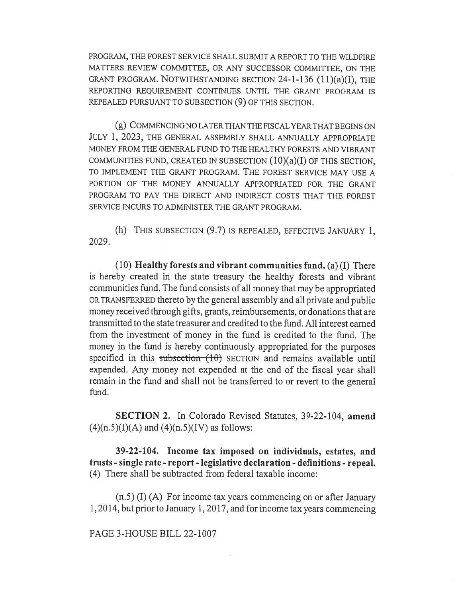PROGRAM, THE FOREST SERVICE SHALL SUBMIT A REPORT TO THE WILDFIRE MATTERS REVIEW COMMITTEE, OR ANY SUCCESSOR COMMITTEE, ON THE GRANT PROGRAM. NOTWITHSTANDING SECTION 24-1-136 (11)(a)(I), THE REPORTING REQUIREMENT CONTINUES UNTIL THE GRANT PROGRAM IS REPEALED PURSUANT TO SUBSECTION (9) OF THIS SECTION.

(g) COMMENCING NO LATER THAN THE FISCAL YEAR THAT BEGINS ON JULY 1, 2023, THE GENERAL ASSEMBLY SHALL ANNUALLY APPROPRIATE MONEY FROM THE GENERAL FUND TO THE HEALTHY FORESTS AND VIBRANT COMMUNITIES FUND, CREATED IN SUBSECTION  $(10)(a)(I)$  OF THIS SECTION, TO IMPLEMENT THE GRANT PROGRAM. THE FOREST SERVICE MAY USE A PORTION OF THE MONEY ANNUALLY APPROPRIATED FOR THE GRANT PROGRAM TO PAY THE DIRECT AND INDIRECT COSTS THAT THE FOREST SERVICE INCURS TO ADMINISTER THE GRANT PROGRAM.

(h) THIS SUBSECTION (9.7) IS REPEALED, EFFECTIVE JANUARY 1, 2029.

 $(10)$  Healthy forests and vibrant communities fund. (a) (I) There is hereby created in the state treasury the healthy forests and vibrant communities fund. The fund consists of all money that may be appropriated OR TRANSFERRED thereto by the general assembly and all private and public money received through gifts, grants, reimbursements, or donations that are transmitted to the state treasurer and credited to the fund. All interest earned from the investment of money in the fund is credited to the fund. The money in the fund is hereby continuously appropriated for the purposes specified in this subsection (10) SECTION and remains available until expended. Any money not expended at the end of the fiscal year shall remain in the fund and shall not be transferred to or revert to the general fund.

SECTION 2. In Colorado Revised Statutes, 39-22-104, amend  $(4)(n.5)(I)(A)$  and  $(4)(n.5)(IV)$  as follows:

39-22-104. Income tax imposed on individuals, estates, and trusts - single rate - report - legislative declaration - definitions - repeal. (4) There shall be subtracted from federal taxable income:

(n.5) (I) (A) For income tax years commencing on or after January 1, 2014, but prior to January 1, 2017, and for income tax years commencing

## PAGE 3-HOUSE BILL 22-1007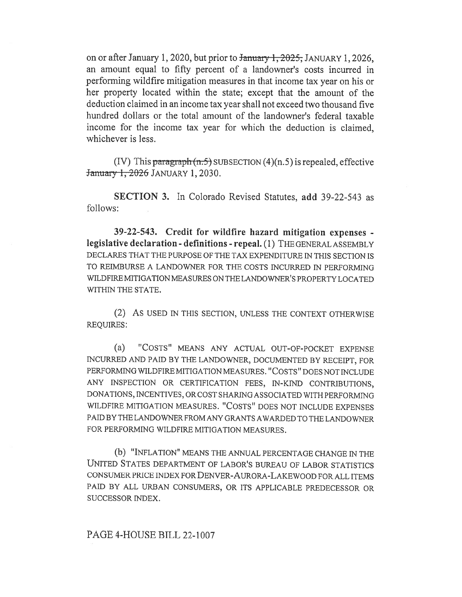on or after January 1, 2020, but prior to <del>January 1, 2025,</del> JANUARY 1, 2026, an amount equal to fifty percent of a landowner's costs incurred in performing wildfire mitigation measures in that income tax year on his or her property located within the state; except that the amount of the deduction claimed in an income tax year shall not exceed two thousand five hundred dollars or the total amount of the landowner's federal taxable income for the income tax year for which the deduction is claimed, whichever is less.

(IV) This paragraph  $(n.5)$  SUBSECTION  $(4)(n.5)$  is repealed, effective **January 1, 2026 JANUARY 1, 2030.** 

SECTION 3. In Colorado Revised Statutes, add 39-22-543 as follows:

39-22-543. Credit for wildfire hazard mitigation expenses legislative declaration - definitions - repeal. (1) THE GENERAL ASSEMBLY DECLARES THAT THE PURPOSE OF THE TAX EXPENDITURE IN THIS SECTION IS TO REIMBURSE A LANDOWNER FOR THE COSTS INCURRED IN PERFORMING WILDFIRE MITIGATION MEASURES ON THE LANDOWNER'S PROPERTY LOCATED WITHIN THE STATE.

(2) AS USED IN THIS SECTION, UNLESS THE CONTEXT OTHERWISE REQUIRES:

(a) "COSTS" MEANS ANY ACTUAL OUT-OF-POCKET EXPENSE INCURRED AND PAID BY THE LANDOWNER, DOCUMENTED BY RECEIPT, FOR PERFORMING WILDFIRE MITIGATION MEASURES. "COSTS" DOES NOT INCLUDE ANY INSPECTION OR CERTIFICATION FEES, IN-KIND CONTRIBUTIONS, DONATIONS, INCENTIVES, OR COST SHARING ASSOCIATED WITH PERFORMING WILDFIRE MITIGATION MEASURES. "COSTS" DOES NOT INCLUDE EXPENSES PAID BY THE LANDOWNER FROM ANY GRANTS AWARDED TO THE LANDOWNER FOR PERFORMING WILDFIRE MITIGATION MEASURES.

(b) "INFLATION" MEANS THE ANNUAL PERCENTAGE CHANGE IN THE UNITED STATES DEPARTMENT OF LABOR'S BUREAU OF LABOR STATISTICS CONSUMER PRICE INDEX FOR DENVER-AURORA-LAKEWOOD FOR ALL ITEMS PAID BY ALL URBAN CONSUMERS, OR ITS APPLICABLE PREDECESSOR OR SUCCESSOR INDEX.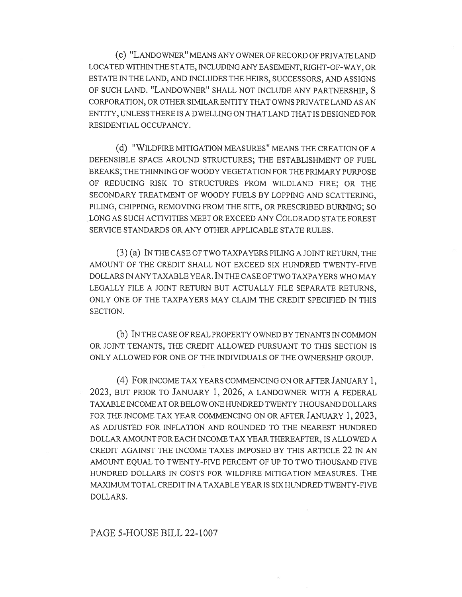(c) "LANDOWNER" MEANS ANY OWNER OF RECORD OF PRIVATE LAND LOCATED WITHIN THE STATE, INCLUDING ANY EASEMENT, RIGHT-OF-WAY, OR ESTATE IN THE LAND, AND INCLUDES THE HEIRS, SUCCESSORS, AND ASSIGNS OF SUCH LAND. "LANDOWNER" SHALL NOT INCLUDE ANY PARTNERSHIP, S CORPORATION, OR OTHER SIMILAR ENTITY THAT OWNS PRIVATE LAND AS AN ENTITY, UNLESS THERE IS A DWELLING ON THAT LAND THAT IS DESIGNED FOR RESIDENTIAL OCCUPANCY.

(d) "WILDFIRE MITIGATION MEASURES" MEANS THE CREATION OF A DEFENSIBLE SPACE AROUND STRUCTURES; THE ESTABLISHMENT OF FUEL BREAKS; THE THINNING OF WOODY VEGETATION FOR THE PRIMARY PURPOSE OF REDUCING RISK TO STRUCTURES FROM WILDLAND FIRE; OR THE SECONDARY TREATMENT OF WOODY FUELS BY LOPPING AND SCATTERING, PILING, CHIPPING, REMOVING FROM THE SITE, OR PRESCRIBED BURNING; SO LONG AS SUCH ACTIVITIES MEET OR EXCEED ANY COLORADO STATE FOREST SERVICE STANDARDS OR ANY OTHER APPLICABLE STATE RULES.

(3) (a) IN THE CASE OF TWO TAXPAYERS FILING A JOINT RETURN, THE AMOUNT OF THE CREDIT SHALL NOT EXCEED SIX HUNDRED TWENTY-FIVE DOLLARS IN ANY TAXABLE YEAR. IN THE CASE OF TWO TAXPAYERS WHO MAY LEGALLY FILE A JOINT RETURN BUT ACTUALLY FILE SEPARATE RETURNS, ONLY ONE OF THE TAXPAYERS MAY CLAIM THE CREDIT SPECIFIED IN THIS SECTION.

(b) IN THE CASE OF REAL PROPERTY OWNED BY TENANTS IN COMMON OR JOINT TENANTS, THE CREDIT ALLOWED PURSUANT TO THIS SECTION IS ONLY ALLOWED FOR ONE OF THE INDIVIDUALS OF THE OWNERSHIP GROUP.

(4) FOR INCOME TAX YEARS COMMENCING ON OR AFTER JANUARY 1, 2023, BUT PRIOR TO JANUARY 1, 2026, A LANDOWNER WITH A FEDERAL TAXABLE INCOME AT OR BELOW ONE HUNDRED TWENTY THOUSAND DOLLARS FOR THE INCOME TAX YEAR COMMENCING ON OR AFTER JANUARY 1, 2023, AS ADJUSTED FOR INFLATION AND ROUNDED TO THE NEAREST HUNDRED DOLLAR AMOUNT FOR EACH INCOME TAX YEAR THEREAFTER, IS ALLOWED A CREDIT AGAINST THE INCOME TAXES IMPOSED BY THIS ARTICLE 22 IN AN AMOUNT EQUAL TO TWENTY-FIVE PERCENT OF UP TO TWO THOUSAND FIVE HUNDRED DOLLARS IN COSTS FOR WILDFIRE MITIGATION MEASURES. THE MAXIMUM TOTAL CREDIT IN A TAXABLE YEAR IS SIX HUNDRED TWENTY-FIVE DOLLARS.

PAGE 5-HOUSE BILL 22-1007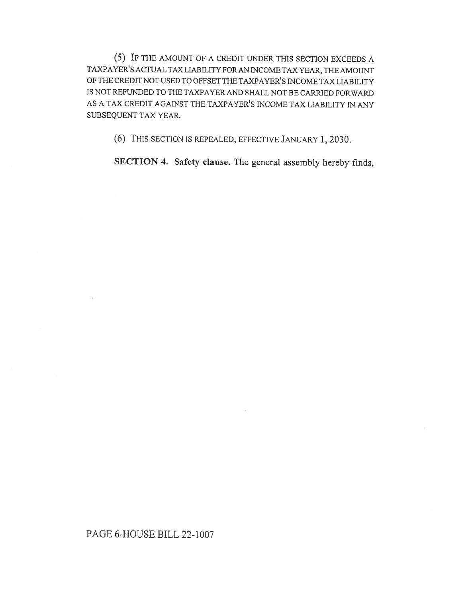(5) IF THE AMOUNT OF A CREDIT UNDER THIS SECTION EXCEEDS A TAXPAYER'S ACTUAL TAX LIABILITY FOR AN INCOME TAX YEAR, THE AMOUNT OF THE CREDIT NOT USED TO OFFSET THE TAXPAYER'S INCOME TAX LIABILITY IS NOT REFUNDED TO THE TAXPAYER AND SHALL NOT BE CARRIED FORWARD AS A TAX CREDIT AGAINST THE TAXPAYER'S INCOME TAX LIABILITY IN ANY SUBSEQUENT TAX YEAR.

(6) THIS SECTION IS REPEALED, EFFECTIVE JANUARY 1, 2030.

SECTION 4. Safety clause. The general assembly hereby finds,